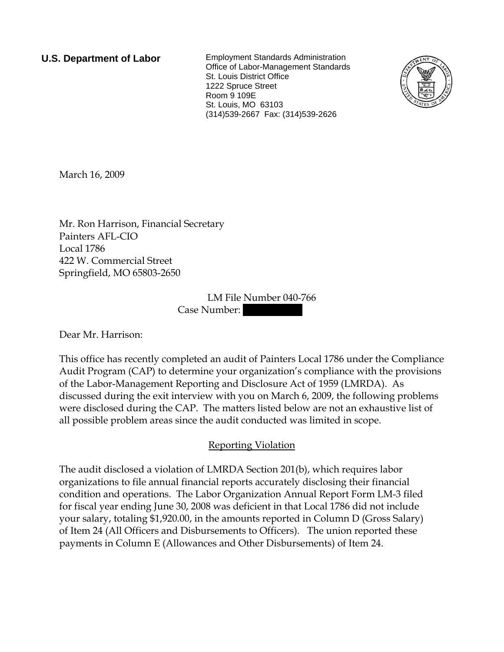**U.S. Department of Labor** Employment Standards Administration Office of Labor-Management Standards St. Louis District Office 1222 Spruce Street Room 9 109E St. Louis, MO 63103 (314)539-2667 Fax: (314)539-2626



March 16, 2009

Mr. Ron Harrison, Financial Secretary Painters AFL-CIO Local 1786 422 W. Commercial Street Springfield, MO 65803-2650

> LM File Number 040-766 Case Number:

Dear Mr. Harrison:

This office has recently completed an audit of Painters Local 1786 under the Compliance Audit Program (CAP) to determine your organization's compliance with the provisions of the Labor-Management Reporting and Disclosure Act of 1959 (LMRDA). As discussed during the exit interview with you on March 6, 2009, the following problems were disclosed during the CAP. The matters listed below are not an exhaustive list of all possible problem areas since the audit conducted was limited in scope.

## Reporting Violation

The audit disclosed a violation of LMRDA Section 201(b), which requires labor organizations to file annual financial reports accurately disclosing their financial condition and operations. The Labor Organization Annual Report Form LM-3 filed for fiscal year ending June 30, 2008 was deficient in that Local 1786 did not include your salary, totaling \$1,920.00, in the amounts reported in Column D (Gross Salary) of Item 24 (All Officers and Disbursements to Officers). The union reported these payments in Column E (Allowances and Other Disbursements) of Item 24.